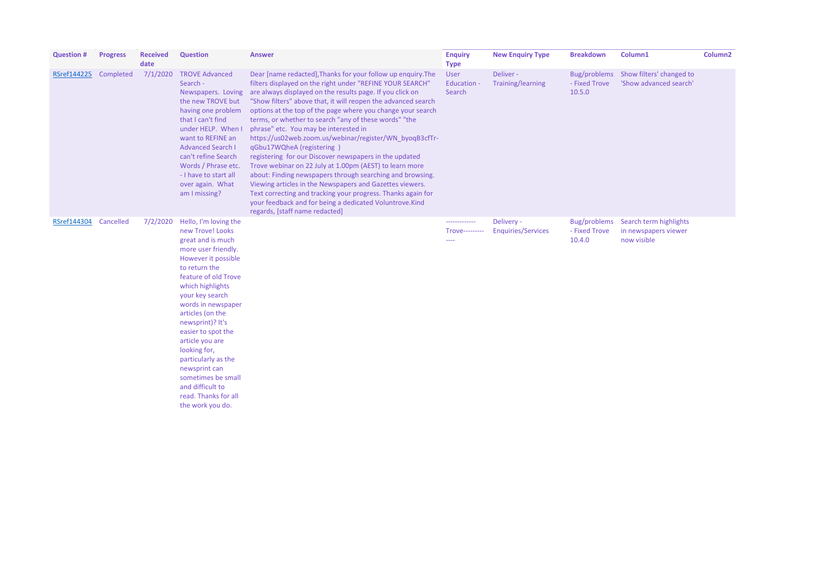| <b>Question #</b> | <b>Progress</b> | <b>Received</b><br>date | <b>Question</b>                                                                                                                                                                                                                                                                                                                                                                                                                                   | <b>Answer</b>                                                                                                                                                                                                                                                                                                                                                                                                                                                                                                                                                                                                                                                                                                                                                                                                                                                                                                               | <b>Enquiry</b><br><b>Type</b>          | <b>New Enquiry Type</b>                 | <b>Breakdown</b>                               |
|-------------------|-----------------|-------------------------|---------------------------------------------------------------------------------------------------------------------------------------------------------------------------------------------------------------------------------------------------------------------------------------------------------------------------------------------------------------------------------------------------------------------------------------------------|-----------------------------------------------------------------------------------------------------------------------------------------------------------------------------------------------------------------------------------------------------------------------------------------------------------------------------------------------------------------------------------------------------------------------------------------------------------------------------------------------------------------------------------------------------------------------------------------------------------------------------------------------------------------------------------------------------------------------------------------------------------------------------------------------------------------------------------------------------------------------------------------------------------------------------|----------------------------------------|-----------------------------------------|------------------------------------------------|
| RSref144225       | Completed       | 7/1/2020                | <b>TROVE Advanced</b><br>Search -<br>Newspapers. Loving<br>the new TROVE but<br>having one problem<br>that I can't find<br>under HELP. When I<br>want to REFINE an<br><b>Advanced Search I</b><br>can't refine Search<br>Words / Phrase etc.<br>- I have to start all<br>over again. What<br>am I missing?                                                                                                                                        | Dear [name redacted], Thanks for your follow up enquiry. The<br>filters displayed on the right under "REFINE YOUR SEARCH"<br>are always displayed on the results page. If you click on<br>"Show filters" above that, it will reopen the advanced search<br>options at the top of the page where you change your search<br>terms, or whether to search "any of these words" "the<br>phrase" etc. You may be interested in<br>https://us02web.zoom.us/webinar/register/WN_byoqB3cfTr-<br>qGbu17WQheA (registering)<br>registering for our Discover newspapers in the updated<br>Trove webinar on 22 July at 1.00pm (AEST) to learn more<br>about: Finding newspapers through searching and browsing.<br>Viewing articles in the Newspapers and Gazettes viewers.<br>Text correcting and tracking your progress. Thanks again for<br>your feedback and for being a dedicated Voluntrove.Kind<br>regards, [staff name redacted] | User<br><b>Education -</b><br>Search   | Deliver -<br><b>Training/learning</b>   | <b>Bug/problems</b><br>- Fixed Trove<br>10.5.0 |
| RSref144304       | Cancelled       | 7/2/2020                | Hello, I'm loving the<br>new Trove! Looks<br>great and is much<br>more user friendly.<br>However it possible<br>to return the<br>feature of old Trove<br>which highlights<br>your key search<br>words in newspaper<br>articles (on the<br>newsprint)? It's<br>easier to spot the<br>article you are<br>looking for,<br>particularly as the<br>newsprint can<br>sometimes be small<br>and difficult to<br>read. Thanks for all<br>the work you do. |                                                                                                                                                                                                                                                                                                                                                                                                                                                                                                                                                                                                                                                                                                                                                                                                                                                                                                                             | -------------<br><b>Trove---------</b> | Delivery -<br><b>Enquiries/Services</b> | Bug/problems<br>- Fixed Trove<br>10.4.0        |

| lumr |  |
|------|--|
|      |  |

 $Column2$ 

Show filters' changed to 'Show advanced search'

Search term highlights in newspapers viewer now visible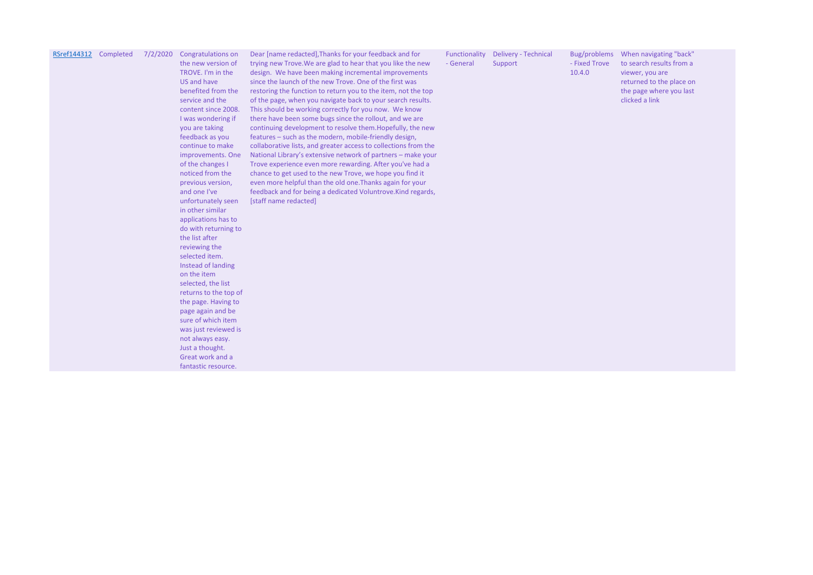## RSref144312 Completed 7/2/2020 Congratulations on

the new version of TROVE. I'm in the US and have benefited from the service and the content since 2008. I was wondering if you are taking feedback as you continue to make improvements. One of the changes I noticed from the previous version, and one I've unfortunately seen in other similar applications has to do with returning to the list after reviewing the selected item. Instead of landing on the item selected, the list returns to the top of the page. Having to page again and be sure of which item was just reviewed is not always easy. Just a thought. Great work and a fantastic resource.

Dear [name redacted],Thanks for your feedback and for trying new Trove.We are glad to hear that you like the new design. We have been making incremental improvements since the launch of the new Trove. One of the first was restoring the function to return you to the item, not the top of the page, when you navigate back to your search results. This should be working correctly for you now. We know there have been some bugs since the rollout, and we are continuing development to resolve them.Hopefully, the new features – such as the modern, mobile-friendly design, collaborative lists, and greater access to collections from the National Library's extensive network of partners – make your Trove experience even more rewarding. After you've had a chance to get used to the new Trove, we hope you find it even more helpful than the old one.Thanks again for your feedback and for being a dedicated Voluntrove.Kind regards, [staff name redacted]

|           | Functionality Delivery - Technical | Bug/r  |
|-----------|------------------------------------|--------|
| - General | Support                            | - Fixe |

10.4.0

Bug/problems When navigating "back" - Fixed Trove to search results from a viewer, you are returned to the place on the page where you last clicked a link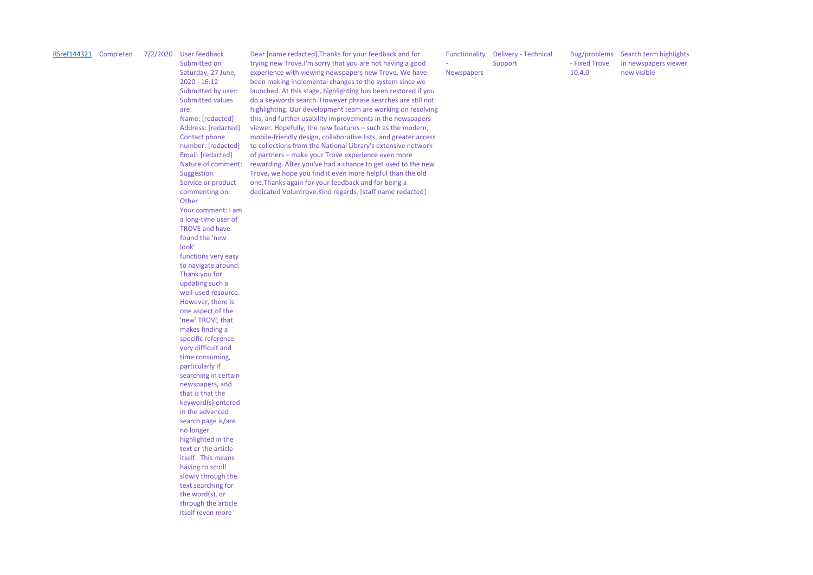## RSref144321 Completed 7/2/2020 User feedback

Submitted on Saturday, 27 June, 2020 - 16:12 Submitted by user: Submitted values are: Name: [redacted] Address: [redacted] Contact phone number: [redacted] Email: [redacted] Nature of comment: Suggestion Service or product commenting on: **Other** Your comment: I am a long-time user of TROVE and have found the 'new look' functions very easy to navigate around. Thank you for updating such a well-used resource. However, there is one aspect of the 'new' TROVE that makes finding a specific reference very difficult and time consuming, particularly if searching in certain newspapers, and that is that the keyword(s) entered in the advanced search page is/are no longer highlighted in the text or the article itself. This means having to scroll slowly through the text searching for the word(s), or through the article itself (even more

Dear [name redacted],Thanks for your feedback and for trying new Trove.I'm sorry that you are not having a good experience with viewing newspapers new Trove. We have been making incremental changes to the system since we launched. At this stage, highlighting has been restored if you do a keywords search. However phrase searches are still not highlighting. Our development team are working on resolving this, and further usability improvements in the newspapers viewer. Hopefully, the new features – such as the modern, mobile-friendly design, collaborative lists, and greater access to collections from the National Library's extensive network of partners – make your Trove experience even more rewarding. After you've had a chance to get used to the new Trove, we hope you find it even more helpful than the old one.Thanks again for your feedback and for being a dedicated Voluntrove.Kind regards, [staff name redacted]

|                          | <b>Functionality</b> Delivery - Technical | Bug/problem   |
|--------------------------|-------------------------------------------|---------------|
| $\overline{\phantom{a}}$ | Support                                   | - Fixed Trove |
| <b>Newspapers</b>        |                                           | 10.4.0        |

Bug/problems Search term highlights in newspapers viewer now visible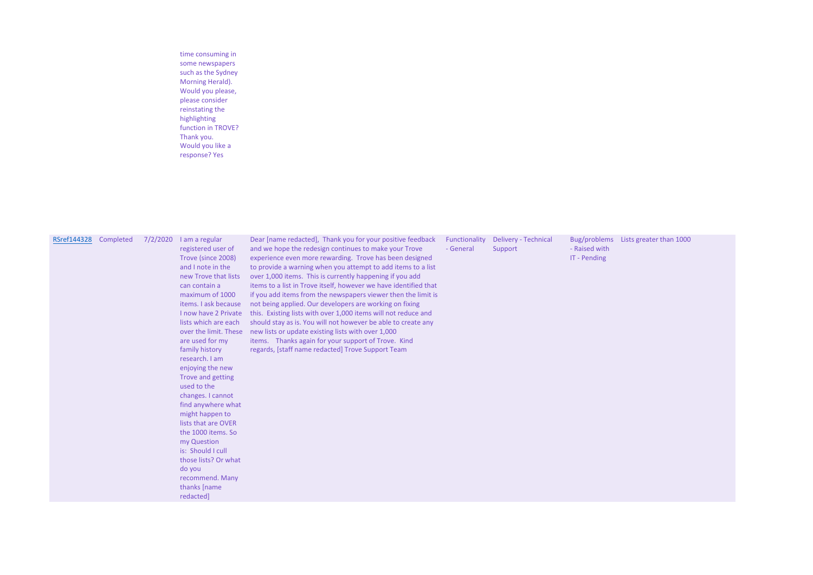time consuming in some newspapers such as the Sydney Morning Herald). Would you please, please consider reinstating the highlighting function in TROVE? Thank you. Would you like a response? Yes

| RSref144328 Completed |  | 7/2/2020 | I am a regular<br>registered user of<br>Trove (since 2008)<br>and I note in the<br>new Trove that lists<br>can contain a<br>maximum of 1000<br>items. I ask because<br>I now have 2 Private<br>lists which are each<br>over the limit. These<br>are used for my<br>family history<br>research. I am<br>enjoying the new<br>Trove and getting<br>used to the<br>changes. I cannot<br>find anywhere what<br>might happen to<br>lists that are OVER<br>the 1000 items. So<br>my Question<br>is: Should I cull<br>those lists? Or what<br>do you<br>recommend. Many<br>thanks [name<br>redacted] | Dear [name redacted], Thank you for your positive feedback<br>and we hope the redesign continues to make your Trove<br>experience even more rewarding. Trove has been designed<br>to provide a warning when you attempt to add items to a list<br>over 1,000 items. This is currently happening if you add<br>items to a list in Trove itself, however we have identified that<br>if you add items from the newspapers viewer then the limit is<br>not being applied. Our developers are working on fixing<br>this. Existing lists with over 1,000 items will not reduce and<br>should stay as is. You will not however be able to create any<br>new lists or update existing lists with over 1,000<br>items. Thanks again for your support of Trove. Kind<br>regards, [staff name redacted] Trove Support Team | Functionality<br>- General | <b>Delivery - Technical</b><br>Support | Bug/problems<br>- Raised with<br>IT - Pending |
|-----------------------|--|----------|----------------------------------------------------------------------------------------------------------------------------------------------------------------------------------------------------------------------------------------------------------------------------------------------------------------------------------------------------------------------------------------------------------------------------------------------------------------------------------------------------------------------------------------------------------------------------------------------|-----------------------------------------------------------------------------------------------------------------------------------------------------------------------------------------------------------------------------------------------------------------------------------------------------------------------------------------------------------------------------------------------------------------------------------------------------------------------------------------------------------------------------------------------------------------------------------------------------------------------------------------------------------------------------------------------------------------------------------------------------------------------------------------------------------------|----------------------------|----------------------------------------|-----------------------------------------------|
|-----------------------|--|----------|----------------------------------------------------------------------------------------------------------------------------------------------------------------------------------------------------------------------------------------------------------------------------------------------------------------------------------------------------------------------------------------------------------------------------------------------------------------------------------------------------------------------------------------------------------------------------------------------|-----------------------------------------------------------------------------------------------------------------------------------------------------------------------------------------------------------------------------------------------------------------------------------------------------------------------------------------------------------------------------------------------------------------------------------------------------------------------------------------------------------------------------------------------------------------------------------------------------------------------------------------------------------------------------------------------------------------------------------------------------------------------------------------------------------------|----------------------------|----------------------------------------|-----------------------------------------------|

## Lists greater than 1000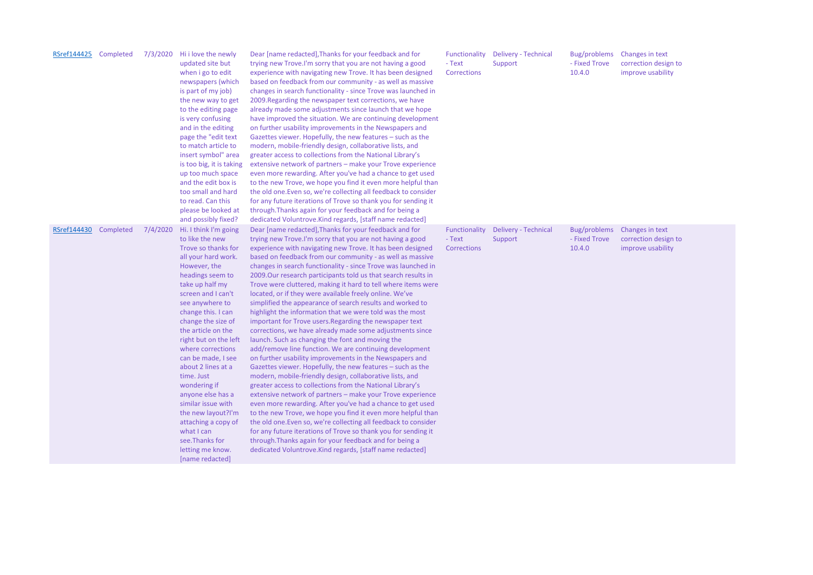Bug/problems Changes in text correction design to improve usability

| RSref144425 | Completed | 7/3/2020 | Hi i love the newly<br>updated site but<br>when i go to edit<br>newspapers (which<br>is part of my job)<br>the new way to get<br>to the editing page<br>is very confusing<br>and in the editing<br>page the "edit text<br>to match article to<br>insert symbol" area<br>is too big, it is taking<br>up too much space<br>and the edit box is<br>too small and hard<br>to read. Can this<br>please be looked at<br>and possibly fixed?                                                                                                            | Dear [name redacted], Thanks for your feedback and for<br>trying new Trove.I'm sorry that you are not having a good<br>experience with navigating new Trove. It has been designed<br>based on feedback from our community - as well as massive<br>changes in search functionality - since Trove was launched in<br>2009. Regarding the newspaper text corrections, we have<br>already made some adjustments since launch that we hope<br>have improved the situation. We are continuing development<br>on further usability improvements in the Newspapers and<br>Gazettes viewer. Hopefully, the new features - such as the<br>modern, mobile-friendly design, collaborative lists, and<br>greater access to collections from the National Library's<br>extensive network of partners - make your Trove experience<br>even more rewarding. After you've had a chance to get used<br>to the new Trove, we hope you find it even more helpful than<br>the old one. Even so, we're collecting all feedback to consider<br>for any future iterations of Trove so thank you for sending it<br>through. Thanks again for your feedback and for being a<br>dedicated Voluntrove. Kind regards, [staff name redacted]                                                                                                                                                                                                                                                                                                                                                                         | Functionality<br>- Text<br>Corrections | <b>Delivery - Technical</b><br>Support | Bug/problems<br>- Fixed Trove<br>10.4.0 |
|-------------|-----------|----------|--------------------------------------------------------------------------------------------------------------------------------------------------------------------------------------------------------------------------------------------------------------------------------------------------------------------------------------------------------------------------------------------------------------------------------------------------------------------------------------------------------------------------------------------------|----------------------------------------------------------------------------------------------------------------------------------------------------------------------------------------------------------------------------------------------------------------------------------------------------------------------------------------------------------------------------------------------------------------------------------------------------------------------------------------------------------------------------------------------------------------------------------------------------------------------------------------------------------------------------------------------------------------------------------------------------------------------------------------------------------------------------------------------------------------------------------------------------------------------------------------------------------------------------------------------------------------------------------------------------------------------------------------------------------------------------------------------------------------------------------------------------------------------------------------------------------------------------------------------------------------------------------------------------------------------------------------------------------------------------------------------------------------------------------------------------------------------------------------------------------------------------------------|----------------------------------------|----------------------------------------|-----------------------------------------|
| RSref144430 | Completed | 7/4/2020 | Hi. I think I'm going<br>to like the new<br>Trove so thanks for<br>all your hard work.<br>However, the<br>headings seem to<br>take up half my<br>screen and I can't<br>see anywhere to<br>change this. I can<br>change the size of<br>the article on the<br>right but on the left<br>where corrections<br>can be made, I see<br>about 2 lines at a<br>time. Just<br>wondering if<br>anyone else has a<br>similar issue with<br>the new layout?I'm<br>attaching a copy of<br>what I can<br>see. Thanks for<br>letting me know.<br>[name redacted] | Dear [name redacted], Thanks for your feedback and for<br>trying new Trove.I'm sorry that you are not having a good<br>experience with navigating new Trove. It has been designed<br>based on feedback from our community - as well as massive<br>changes in search functionality - since Trove was launched in<br>2009.Our research participants told us that search results in<br>Trove were cluttered, making it hard to tell where items were<br>located, or if they were available freely online. We've<br>simplified the appearance of search results and worked to<br>highlight the information that we were told was the most<br>important for Trove users. Regarding the newspaper text<br>corrections, we have already made some adjustments since<br>launch. Such as changing the font and moving the<br>add/remove line function. We are continuing development<br>on further usability improvements in the Newspapers and<br>Gazettes viewer. Hopefully, the new features - such as the<br>modern, mobile-friendly design, collaborative lists, and<br>greater access to collections from the National Library's<br>extensive network of partners - make your Trove experience<br>even more rewarding. After you've had a chance to get used<br>to the new Trove, we hope you find it even more helpful than<br>the old one. Even so, we're collecting all feedback to consider<br>for any future iterations of Trove so thank you for sending it<br>through. Thanks again for your feedback and for being a<br>dedicated Voluntrove. Kind regards, [staff name redacted] | Functionality<br>- Text<br>Corrections | <b>Delivery - Technical</b><br>Support | Bug/problems<br>- Fixed Trove<br>10.4.0 |

Changes in text correction design to improve usability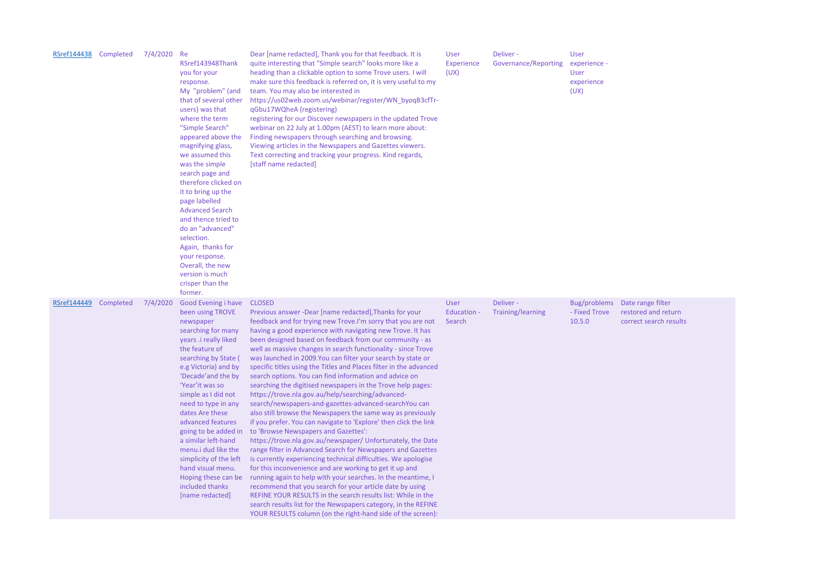| <b>RSref144438</b> | Completed | 7/4/2020 | Re<br>RSref143948Thank<br>you for your<br>response.<br>My "problem" (and<br>that of several other<br>users) was that<br>where the term<br>"Simple Search"<br>appeared above the<br>magnifying glass,<br>we assumed this<br>was the simple<br>search page and<br>therefore clicked on<br>it to bring up the<br>page labelled<br><b>Advanced Search</b><br>and thence tried to<br>do an "advanced"<br>selection.<br>Again, thanks for<br>your response.<br>Overall, the new<br>version is much<br>crisper than the<br>former. | Dear [name redacted], Thank you for that feedback. It is<br>quite interesting that "Simple search" looks more like a<br>heading than a clickable option to some Trove users. I will<br>make sure this feedback is referred on, it is very useful to my<br>team. You may also be interested in<br>https://us02web.zoom.us/webinar/register/WN_byoqB3cfTr-<br>qGbu17WQheA (registering)<br>registering for our Discover newspapers in the updated Trove<br>webinar on 22 July at 1.00pm (AEST) to learn more about:<br>Finding newspapers through searching and browsing.<br>Viewing articles in the Newspapers and Gazettes viewers.<br>Text correcting and tracking your progress. Kind regards,<br>[staff name redacted]                                                                                                                                                                                                                                                                                                                                                                                                                                                                                                                                                                                                                                                                                                                                                         | <b>User</b><br><b>Experience</b><br>(UX) | Deliver -<br>Governance/Reporting     | <b>User</b><br>experience -<br><b>User</b><br>experience<br>(UX) |
|--------------------|-----------|----------|-----------------------------------------------------------------------------------------------------------------------------------------------------------------------------------------------------------------------------------------------------------------------------------------------------------------------------------------------------------------------------------------------------------------------------------------------------------------------------------------------------------------------------|-----------------------------------------------------------------------------------------------------------------------------------------------------------------------------------------------------------------------------------------------------------------------------------------------------------------------------------------------------------------------------------------------------------------------------------------------------------------------------------------------------------------------------------------------------------------------------------------------------------------------------------------------------------------------------------------------------------------------------------------------------------------------------------------------------------------------------------------------------------------------------------------------------------------------------------------------------------------------------------------------------------------------------------------------------------------------------------------------------------------------------------------------------------------------------------------------------------------------------------------------------------------------------------------------------------------------------------------------------------------------------------------------------------------------------------------------------------------------------------|------------------------------------------|---------------------------------------|------------------------------------------------------------------|
| RSref144449        | Completed | 7/4/2020 | Good Evening i have<br>been using TROVE<br>newspaper<br>searching for many<br>years .i really liked<br>the feature of<br>searching by State<br>e.g Victoria) and by<br>'Decade' and the by<br>'Year' it was so<br>simple as I did not<br>need to type in any<br>dates Are these<br>advanced features<br>going to be added in<br>a similar left-hand<br>menu.i dud like the<br>simplicity of the left<br>hand visual menu.<br>Hoping these can be<br>included thanks<br>[name redacted]                                      | <b>CLOSED</b><br>Previous answer -Dear [name redacted], Thanks for your<br>feedback and for trying new Trove.I'm sorry that you are not<br>having a good experience with navigating new Trove. It has<br>been designed based on feedback from our community - as<br>well as massive changes in search functionality - since Trove<br>was launched in 2009. You can filter your search by state or<br>specific titles using the Titles and Places filter in the advanced<br>search options. You can find information and advice on<br>searching the digitised newspapers in the Trove help pages:<br>https://trove.nla.gov.au/help/searching/advanced-<br>search/newspapers-and-gazettes-advanced-searchYou can<br>also still browse the Newspapers the same way as previously<br>if you prefer. You can navigate to 'Explore' then click the link<br>to 'Browse Newspapers and Gazettes':<br>https://trove.nla.gov.au/newspaper/ Unfortunately, the Date<br>range filter in Advanced Search for Newspapers and Gazettes<br>is currently experiencing technical difficulties. We apologise<br>for this inconvenience and are working to get it up and<br>running again to help with your searches. In the meantime, I<br>recommend that you search for your article date by using<br>REFINE YOUR RESULTS in the search results list: While in the<br>search results list for the Newspapers category, in the REFINE<br>YOUR RESULTS column (on the right-hand side of the screen): | User<br><b>Education -</b><br>Search     | Deliver -<br><b>Training/learning</b> | Bug/problems<br>- Fixed Trove<br>10.5.0                          |

Date range filter restored and return correct search results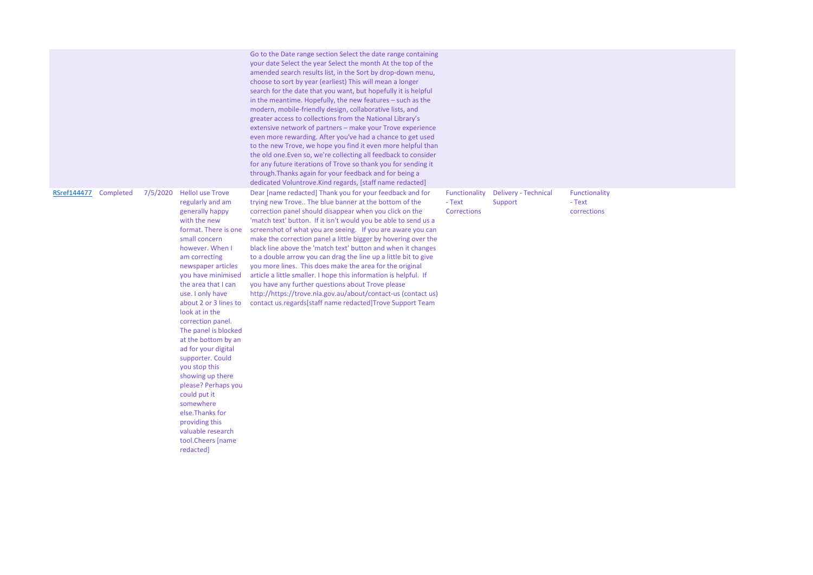|             |           |          |                                                                                                                                                                                                                                                                                                                                                                                                                                                                                                                                                                                                    | Go to the Date range section Select the date range containing<br>your date Select the year Select the month At the top of the<br>amended search results list, in the Sort by drop-down menu,<br>choose to sort by year (earliest) This will mean a longer<br>search for the date that you want, but hopefully it is helpful<br>in the meantime. Hopefully, the new features - such as the<br>modern, mobile-friendly design, collaborative lists, and<br>greater access to collections from the National Library's<br>extensive network of partners - make your Trove experience<br>even more rewarding. After you've had a chance to get used<br>to the new Trove, we hope you find it even more helpful than<br>the old one. Even so, we're collecting all feedback to consider<br>for any future iterations of Trove so thank you for sending it<br>through. Thanks again for your feedback and for being a<br>dedicated Voluntrove. Kind regards, [staff name redacted] |                                               |                                        |                                        |
|-------------|-----------|----------|----------------------------------------------------------------------------------------------------------------------------------------------------------------------------------------------------------------------------------------------------------------------------------------------------------------------------------------------------------------------------------------------------------------------------------------------------------------------------------------------------------------------------------------------------------------------------------------------------|-----------------------------------------------------------------------------------------------------------------------------------------------------------------------------------------------------------------------------------------------------------------------------------------------------------------------------------------------------------------------------------------------------------------------------------------------------------------------------------------------------------------------------------------------------------------------------------------------------------------------------------------------------------------------------------------------------------------------------------------------------------------------------------------------------------------------------------------------------------------------------------------------------------------------------------------------------------------------------|-----------------------------------------------|----------------------------------------|----------------------------------------|
| RSref144477 | Completed | 7/5/2020 | <b>HelloI</b> use Trove<br>regularly and am<br>generally happy<br>with the new<br>format. There is one<br>small concern<br>however. When I<br>am correcting<br>newspaper articles<br>you have minimised<br>the area that I can<br>use. I only have<br>about 2 or 3 lines to<br>look at in the<br>correction panel.<br>The panel is blocked<br>at the bottom by an<br>ad for your digital<br>supporter. Could<br>you stop this<br>showing up there<br>please? Perhaps you<br>could put it<br>somewhere<br>else. Thanks for<br>providing this<br>valuable research<br>tool.Cheers [name<br>redacted] | Dear [name redacted] Thank you for your feedback and for<br>trying new Trove The blue banner at the bottom of the<br>correction panel should disappear when you click on the<br>'match text' button. If it isn't would you be able to send us a<br>screenshot of what you are seeing. If you are aware you can<br>make the correction panel a little bigger by hovering over the<br>black line above the 'match text' button and when it changes<br>to a double arrow you can drag the line up a little bit to give<br>you more lines. This does make the area for the original<br>article a little smaller. I hope this information is helpful. If<br>you have any further questions about Trove please<br>http://https://trove.nla.gov.au/about/contact-us (contact us)<br>contact us.regards[staff name redacted]Trove Support Team                                                                                                                                      | Functionality<br>- Text<br><b>Corrections</b> | <b>Delivery - Technical</b><br>Support | Functionality<br>- Text<br>corrections |

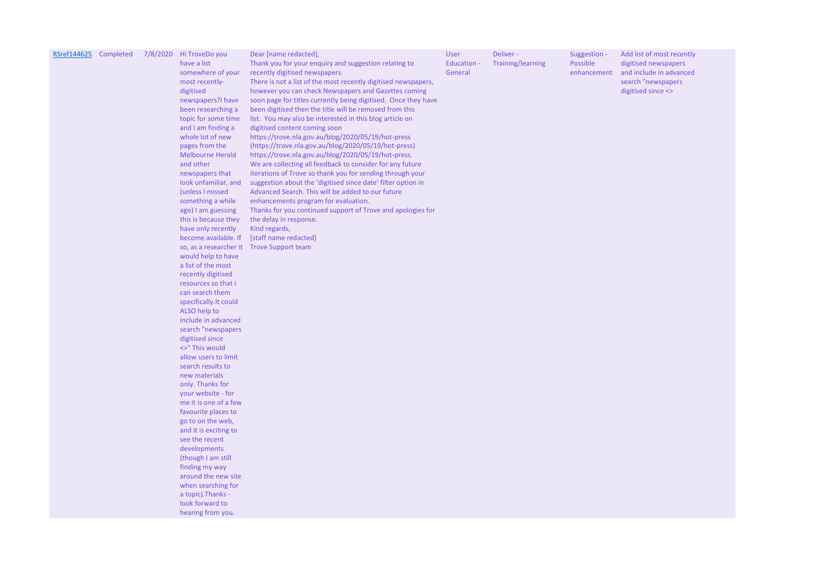| RSref144625 Completed |  | 7/8/2020 | Hi TroveDo you<br>have a list<br>somewhere of your<br>most recently-<br>digitised<br>newspapers?I have<br>been researching a<br>topic for some time<br>and I am finding a<br>whole lot of new<br>pages from the<br><b>Melbourne Herald</b><br>and other<br>newspapers that<br>look unfamiliar, and<br>(unless I missed<br>something a while<br>ago) I am guessing<br>this is because they<br>have only recently<br>become available. If<br>so, as a researcher it<br>would help to have<br>a list of the most<br>recently digitised<br>resources so that I<br>can search them<br>specifically. It could<br>ALSO help to<br>include in advanced<br>search "newspapers<br>digitised since<br><>" This would<br>allow users to limit<br>search results to<br>new materials<br>only. Thanks for<br>your website - for<br>me it is one of a few<br>favourite places to<br>go to on the web,<br>and it is exciting to<br>see the recent<br>developments<br>(though I am still<br>finding my way<br>around the new site<br>when searching for<br>a topic). Thanks -<br>look forward to<br>hearing from you. | Dear [name redacted],<br>Thank you for your enquiry and suggestion relating to<br>recently digitised newspapers.<br>There is not a list of the most recently digitised newspapers,<br>however you can check Newspapers and Gazettes coming<br>soon page for titles currently being digitised. Once they have<br>been digitised then the title will be removed from this<br>list. You may also be interested in this blog article on<br>digitised content coming soon<br>https://trove.nla.gov.au/blog/2020/05/19/hot-press<br>(https://trove.nla.gov.au/blog/2020/05/19/hot-press)<br>https://trove.nla.gov.au/blog/2020/05/19/hot-press.<br>We are collecting all feedback to consider for any future<br>iterations of Trove so thank you for sending through your<br>suggestion about the 'digitised since date' filter option in<br>Advanced Search. This will be added to our future<br>enhancements program for evaluation.<br>Thanks for you continued support of Trove and apologies for<br>the delay in response.<br>Kind regards,<br>[staff name redacted]<br><b>Trove Support team</b> | <b>User</b><br><b>Education -</b><br>General | Deliver -<br><b>Training/learning</b> | Suggestion -<br>Possible<br>enhancement |
|-----------------------|--|----------|------------------------------------------------------------------------------------------------------------------------------------------------------------------------------------------------------------------------------------------------------------------------------------------------------------------------------------------------------------------------------------------------------------------------------------------------------------------------------------------------------------------------------------------------------------------------------------------------------------------------------------------------------------------------------------------------------------------------------------------------------------------------------------------------------------------------------------------------------------------------------------------------------------------------------------------------------------------------------------------------------------------------------------------------------------------------------------------------------|--------------------------------------------------------------------------------------------------------------------------------------------------------------------------------------------------------------------------------------------------------------------------------------------------------------------------------------------------------------------------------------------------------------------------------------------------------------------------------------------------------------------------------------------------------------------------------------------------------------------------------------------------------------------------------------------------------------------------------------------------------------------------------------------------------------------------------------------------------------------------------------------------------------------------------------------------------------------------------------------------------------------------------------------------------------------------------------------------|----------------------------------------------|---------------------------------------|-----------------------------------------|
|-----------------------|--|----------|------------------------------------------------------------------------------------------------------------------------------------------------------------------------------------------------------------------------------------------------------------------------------------------------------------------------------------------------------------------------------------------------------------------------------------------------------------------------------------------------------------------------------------------------------------------------------------------------------------------------------------------------------------------------------------------------------------------------------------------------------------------------------------------------------------------------------------------------------------------------------------------------------------------------------------------------------------------------------------------------------------------------------------------------------------------------------------------------------|--------------------------------------------------------------------------------------------------------------------------------------------------------------------------------------------------------------------------------------------------------------------------------------------------------------------------------------------------------------------------------------------------------------------------------------------------------------------------------------------------------------------------------------------------------------------------------------------------------------------------------------------------------------------------------------------------------------------------------------------------------------------------------------------------------------------------------------------------------------------------------------------------------------------------------------------------------------------------------------------------------------------------------------------------------------------------------------------------|----------------------------------------------|---------------------------------------|-----------------------------------------|

Add list of most recently digitised newspapers and include in advanced search "newspapers digitised since <>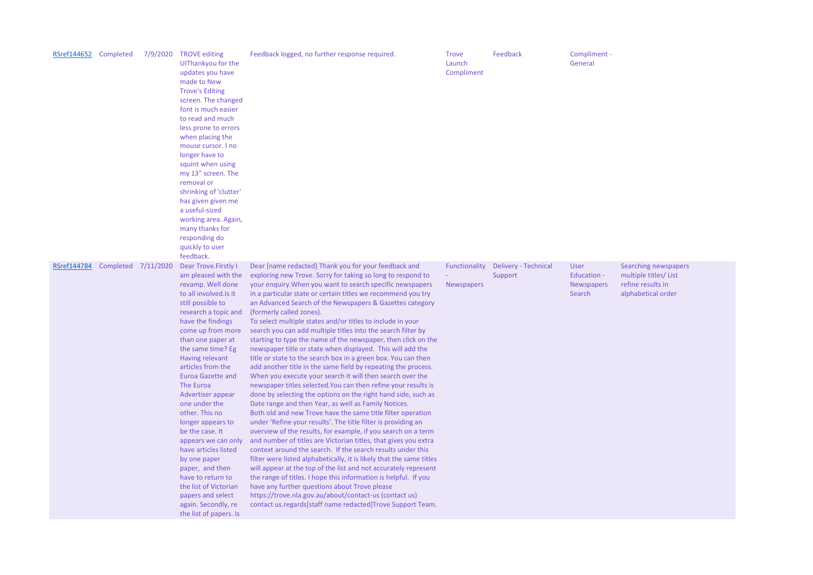| RSref144652 Completed |           | 7/9/2020  | <b>TROVE editing</b><br>UIThankyou for the<br>updates you have<br>made to New<br><b>Trove's Editing</b><br>screen. The changed<br>font is much easier<br>to read and much<br>less prone to errors<br>when placing the<br>mouse cursor. I no<br>longer have to<br>squint when using<br>my 13" screen. The<br>removal or<br>shrinking of 'clutter'<br>has given given me<br>a useful-sized<br>working area. Again,<br>many thanks for<br>responding do<br>quickly to user<br>feedback.                                                                                                                                | Feedback logged, no further response required.                                                                                                                                                                                                                                                                                                                                                                                                                                                                                                                                                                                                                                                                                                                                                                                                                                                                                                                                                                                                                                                                                                                                                                                                                                                                                                                                                                                                                                                                                                                                                                                                                                                                            | <b>Trove</b><br>Launch<br>Compliment | Feedback                               | Compliment -<br>General                                   |
|-----------------------|-----------|-----------|---------------------------------------------------------------------------------------------------------------------------------------------------------------------------------------------------------------------------------------------------------------------------------------------------------------------------------------------------------------------------------------------------------------------------------------------------------------------------------------------------------------------------------------------------------------------------------------------------------------------|---------------------------------------------------------------------------------------------------------------------------------------------------------------------------------------------------------------------------------------------------------------------------------------------------------------------------------------------------------------------------------------------------------------------------------------------------------------------------------------------------------------------------------------------------------------------------------------------------------------------------------------------------------------------------------------------------------------------------------------------------------------------------------------------------------------------------------------------------------------------------------------------------------------------------------------------------------------------------------------------------------------------------------------------------------------------------------------------------------------------------------------------------------------------------------------------------------------------------------------------------------------------------------------------------------------------------------------------------------------------------------------------------------------------------------------------------------------------------------------------------------------------------------------------------------------------------------------------------------------------------------------------------------------------------------------------------------------------------|--------------------------------------|----------------------------------------|-----------------------------------------------------------|
| RSref144784           | Completed | 7/11/2020 | Dear Trove. Firstly I<br>am pleased with the<br>revamp. Well done<br>to all involved. Is it<br>still possible to<br>research a topic and<br>have the findings<br>come up from more<br>than one paper at<br>the same time? Eg<br>Having relevant<br>articles from the<br><b>Euroa Gazette and</b><br>The Euroa<br>Advertiser appear<br>one under the<br>other. This no<br>longer appears to<br>be the case. It<br>appears we can only<br>have articles listed<br>by one paper<br>paper, and then<br>have to return to<br>the list of Victorian<br>papers and select<br>again. Secondly, re<br>the list of papers. Is | Dear [name redacted] Thank you for your feedback and<br>exploring new Trove. Sorry for taking so long to respond to<br>your enquiry. When you want to search specific newspapers<br>in a particular state or certain titles we recommend you try<br>an Advanced Search of the Newspapers & Gazettes category<br>(formerly called zones).<br>To select multiple states and/or titles to include in your<br>search you can add multiple titles into the search filter by<br>starting to type the name of the newspaper, then click on the<br>newspaper title or state when displayed. This will add the<br>title or state to the search box in a green box. You can then<br>add another title in the same field by repeating the process.<br>When you execute your search it will then search over the<br>newspaper titles selected. You can then refine your results is<br>done by selecting the options on the right hand side, such as<br>Date range and then Year, as well as Family Notices.<br>Both old and new Trove have the same title filter operation<br>under 'Refine your results'. The title filter is providing an<br>overview of the results, for example, if you search on a term<br>and number of titles are Victorian titles, that gives you extra<br>context around the search. If the search results under this<br>filter were listed alphabetically, it is likely that the same titles<br>will appear at the top of the list and not accurately represent<br>the range of titles. I hope this information is helpful. If you<br>have any further questions about Trove please<br>https://trove.nla.gov.au/about/contact-us (contact us)<br>contact us.regards[staff name redacted]Trove Support Team. | Functionality<br><b>Newspapers</b>   | <b>Delivery - Technical</b><br>Support | <b>User</b><br>Education -<br><b>Newspapers</b><br>Search |

Searching newspapers multiple titles/ List refine results in alphabetical order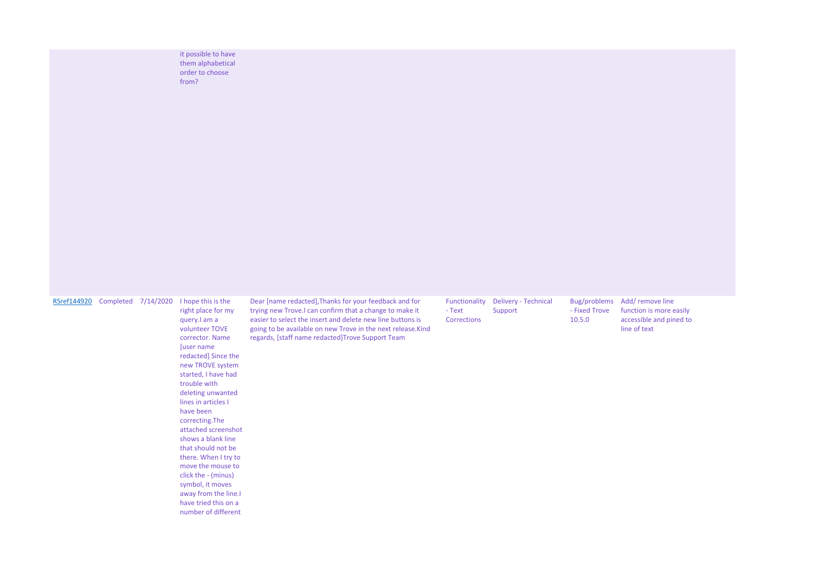it possible to have them alphabetical order to choose from?

| 7/14/2020<br>I hope this is the<br>Dear [name redacted], Thanks for your feedback and for<br>Functionality<br><b>Delivery - Technical</b><br>RSref144920<br>Completed<br>trying new Trove.I can confirm that a change to make it<br>right place for my<br>- Text<br>Support                                                                                                                                                                                                                                                                                                                                                                                      | Bug/problems<br>- Fixed Trove<br>10.5.0 |
|------------------------------------------------------------------------------------------------------------------------------------------------------------------------------------------------------------------------------------------------------------------------------------------------------------------------------------------------------------------------------------------------------------------------------------------------------------------------------------------------------------------------------------------------------------------------------------------------------------------------------------------------------------------|-----------------------------------------|
| easier to select the insert and delete new line buttons is<br>Corrections<br>query. I am a<br>volunteer TOVE<br>going to be available on new Trove in the next release. Kind<br>regards, [staff name redacted]Trove Support Team<br>corrector. Name<br>[user name<br>redacted] Since the<br>new TROVE system<br>started, I have had<br>trouble with<br>deleting unwanted<br>lines in articles I<br>have been<br>correcting. The<br>attached screenshot<br>shows a blank line<br>that should not be<br>there. When I try to<br>move the mouse to<br>click the - (minus)<br>symbol, it moves<br>away from the line.<br>have tried this on a<br>number of different |                                         |

Add/ remove line function is more easily accessible and pined to line of text